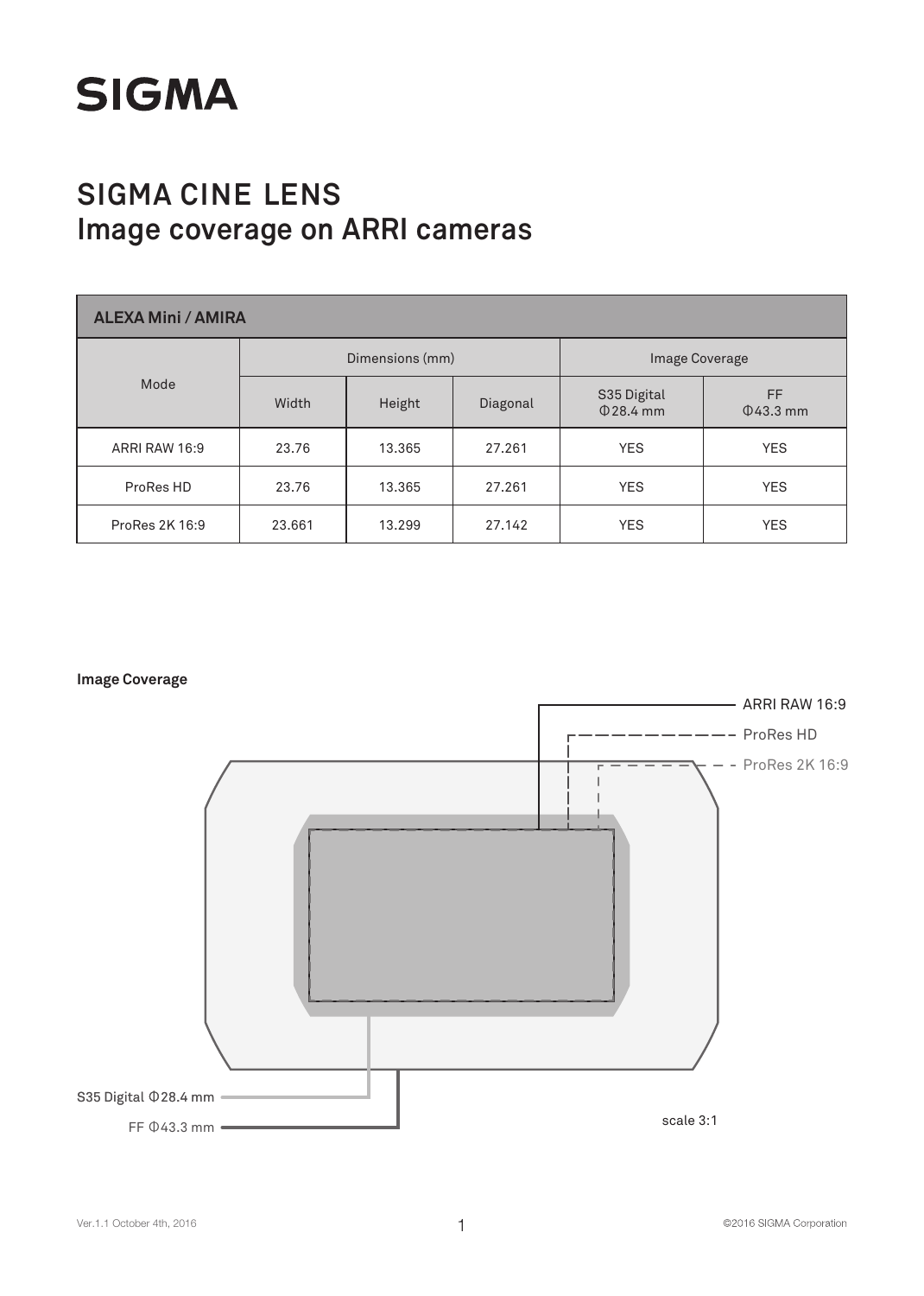

| <b>ALEXA Mini / AMIRA</b> |        |                 |          |                               |                      |  |  |  |  |
|---------------------------|--------|-----------------|----------|-------------------------------|----------------------|--|--|--|--|
|                           |        | Dimensions (mm) |          |                               | Image Coverage       |  |  |  |  |
| Mode                      | Width  | Height          | Diagonal | S35 Digital<br>$\Phi$ 28.4 mm | FF<br>$\Phi$ 43.3 mm |  |  |  |  |
| ARRI RAW 16:9             | 23.76  | 13.365          | 27.261   | <b>YES</b>                    | <b>YES</b>           |  |  |  |  |
| ProRes HD                 | 23.76  | 13.365          | 27.261   | <b>YES</b>                    | <b>YES</b>           |  |  |  |  |
| ProRes 2K 16:9            | 23,661 | 13.299          | 27.142   | <b>YES</b>                    | <b>YES</b>           |  |  |  |  |

**Image Coverage**

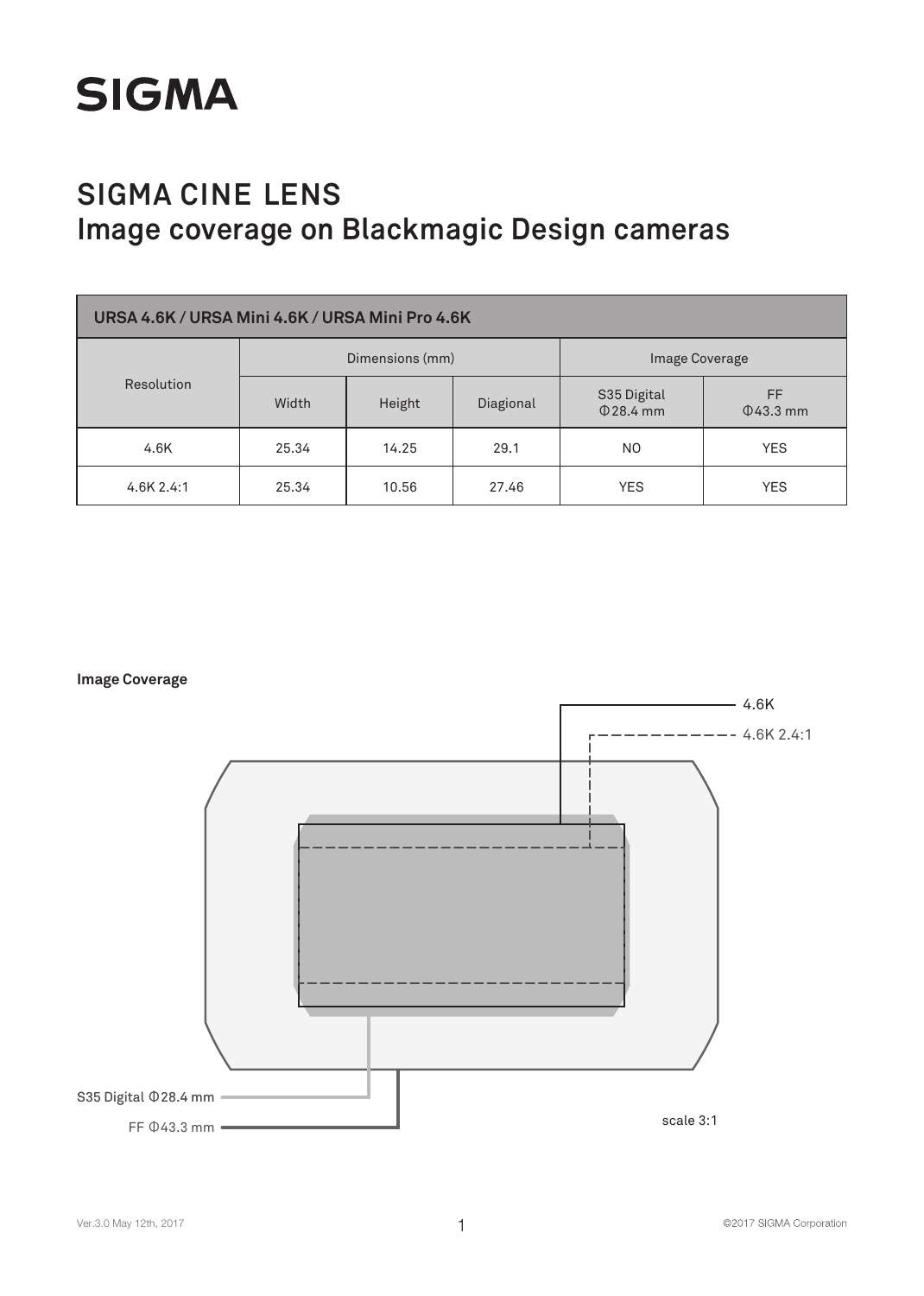

| URSA 4.6K / URSA Mini 4.6K / URSA Mini Pro 4.6K |                 |           |                               |                       |            |  |  |  |
|-------------------------------------------------|-----------------|-----------|-------------------------------|-----------------------|------------|--|--|--|
|                                                 | Dimensions (mm) |           |                               | Image Coverage        |            |  |  |  |
| Resolution                                      | Height<br>Width | Diagional | S35 Digital<br>$\Phi$ 28.4 mm | FF.<br>$\Phi$ 43.3 mm |            |  |  |  |
| 4.6K                                            | 25.34           | 14.25     | 29.1                          | NO.                   | <b>YES</b> |  |  |  |
| 4.6K 2.4:1                                      | 25.34           | 10.56     | 27.46                         | <b>YES</b>            | <b>YES</b> |  |  |  |

**Image Coverage**

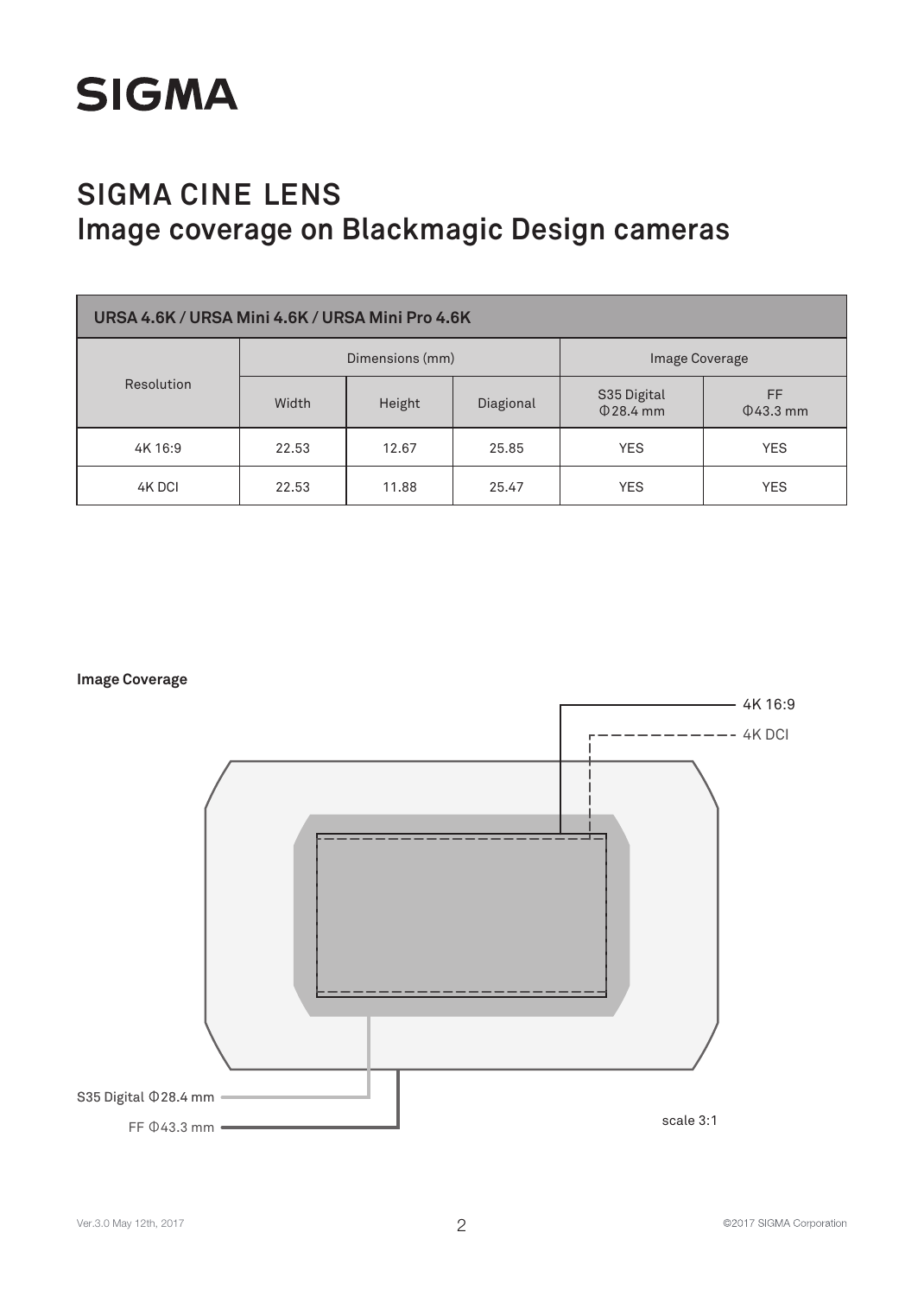

| URSA 4.6K / URSA Mini 4.6K / URSA Mini Pro 4.6K |                 |        |           |                               |                       |  |  |  |
|-------------------------------------------------|-----------------|--------|-----------|-------------------------------|-----------------------|--|--|--|
|                                                 | Dimensions (mm) |        |           | <b>Image Coverage</b>         |                       |  |  |  |
| Resolution                                      | Width           | Height | Diagional | S35 Digital<br>$\Phi$ 28.4 mm | FF.<br>$\Phi$ 43.3 mm |  |  |  |
| 4K 16:9                                         | 22.53           | 12.67  | 25.85     | <b>YES</b>                    | <b>YES</b>            |  |  |  |
| 4K DCI                                          | 22.53           | 11.88  | 25.47     | <b>YES</b>                    | <b>YES</b>            |  |  |  |

**Image Coverage**

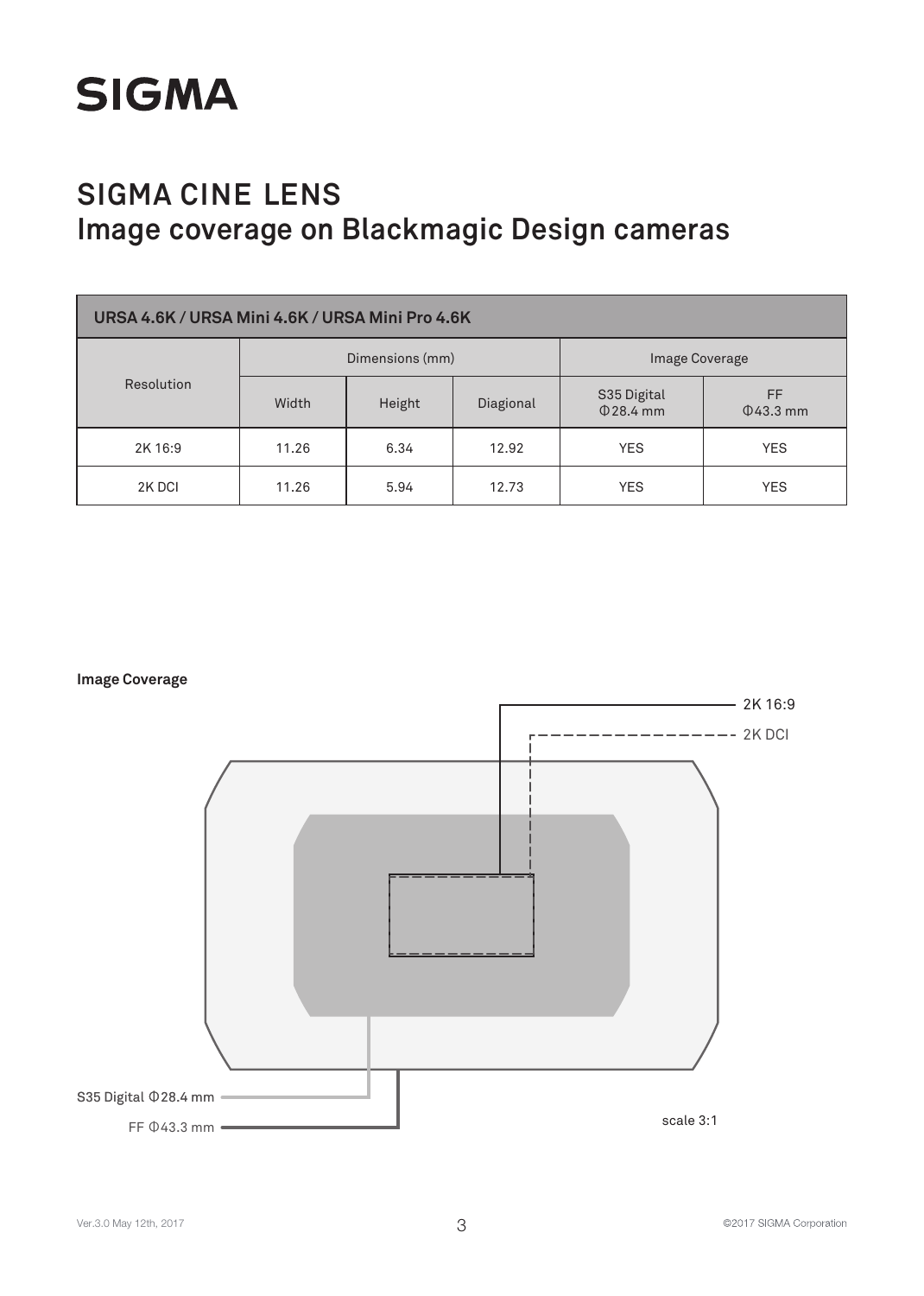

| URSA 4.6K / URSA Mini 4.6K / URSA Mini Pro 4.6K |                 |        |           |                               |                       |  |  |  |
|-------------------------------------------------|-----------------|--------|-----------|-------------------------------|-----------------------|--|--|--|
|                                                 | Dimensions (mm) |        |           | Image Coverage                |                       |  |  |  |
| Resolution                                      | Width           | Height | Diagional | S35 Digital<br>$\Phi$ 28.4 mm | FF.<br>$\Phi$ 43.3 mm |  |  |  |
| 2K 16:9                                         | 11.26           | 6.34   | 12.92     | <b>YES</b>                    | <b>YES</b>            |  |  |  |
| 2K DCI                                          | 11.26           | 5.94   | 12.73     | <b>YES</b>                    | <b>YES</b>            |  |  |  |



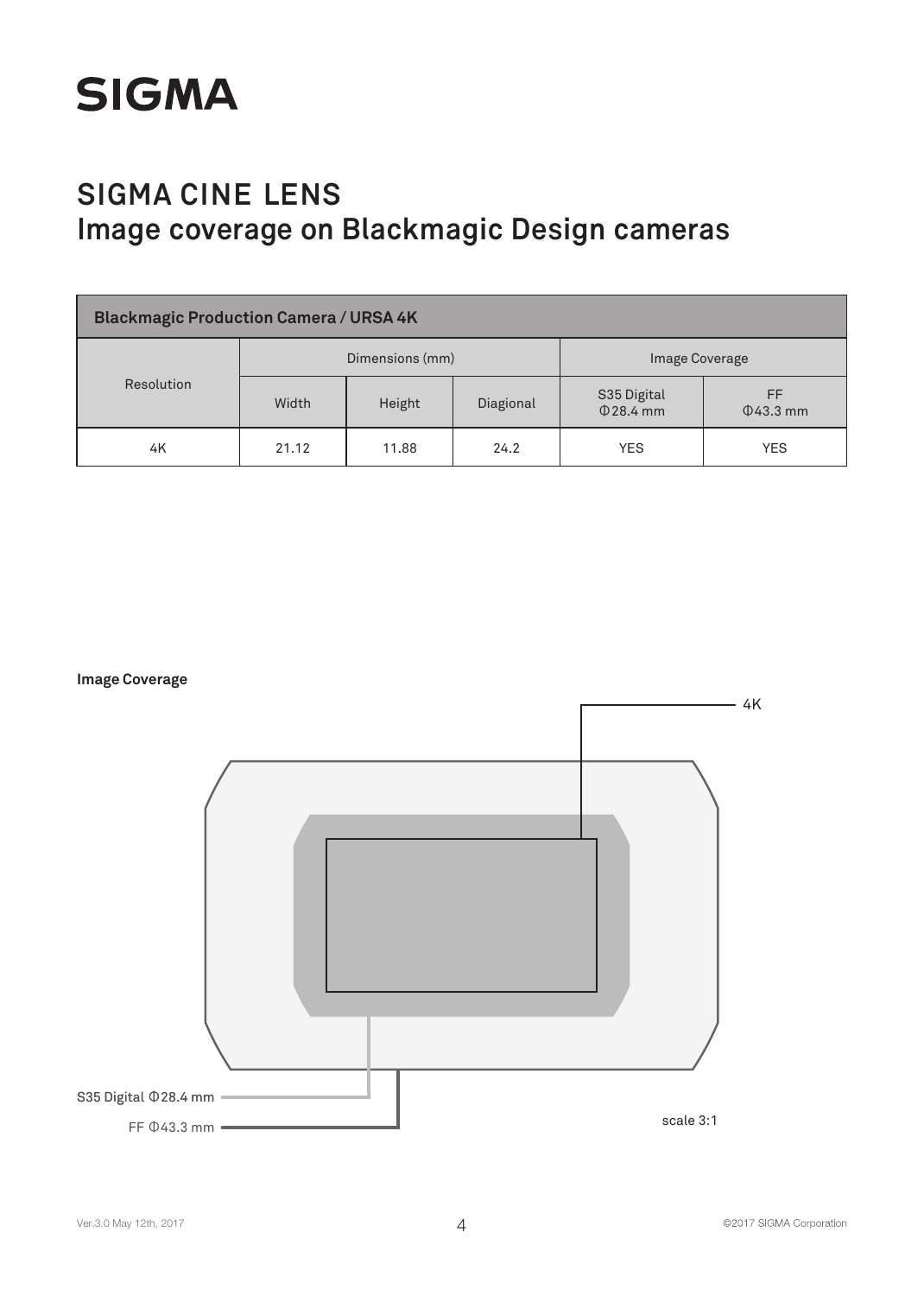

| <b>Blackmagic Production Camera / URSA 4K</b> |       |                 |           |                            |                      |  |  |
|-----------------------------------------------|-------|-----------------|-----------|----------------------------|----------------------|--|--|
|                                               |       | Dimensions (mm) |           | <b>Image Coverage</b>      |                      |  |  |
| Resolution                                    | Width | Height          | Diagional | S35 Digital<br>$Q$ 28.4 mm | FF<br>$\Phi$ 43.3 mm |  |  |
| 4K                                            | 21.12 | 11.88           | 24.2      | <b>YES</b>                 | <b>YES</b>           |  |  |



©2017 SIGMA Corporation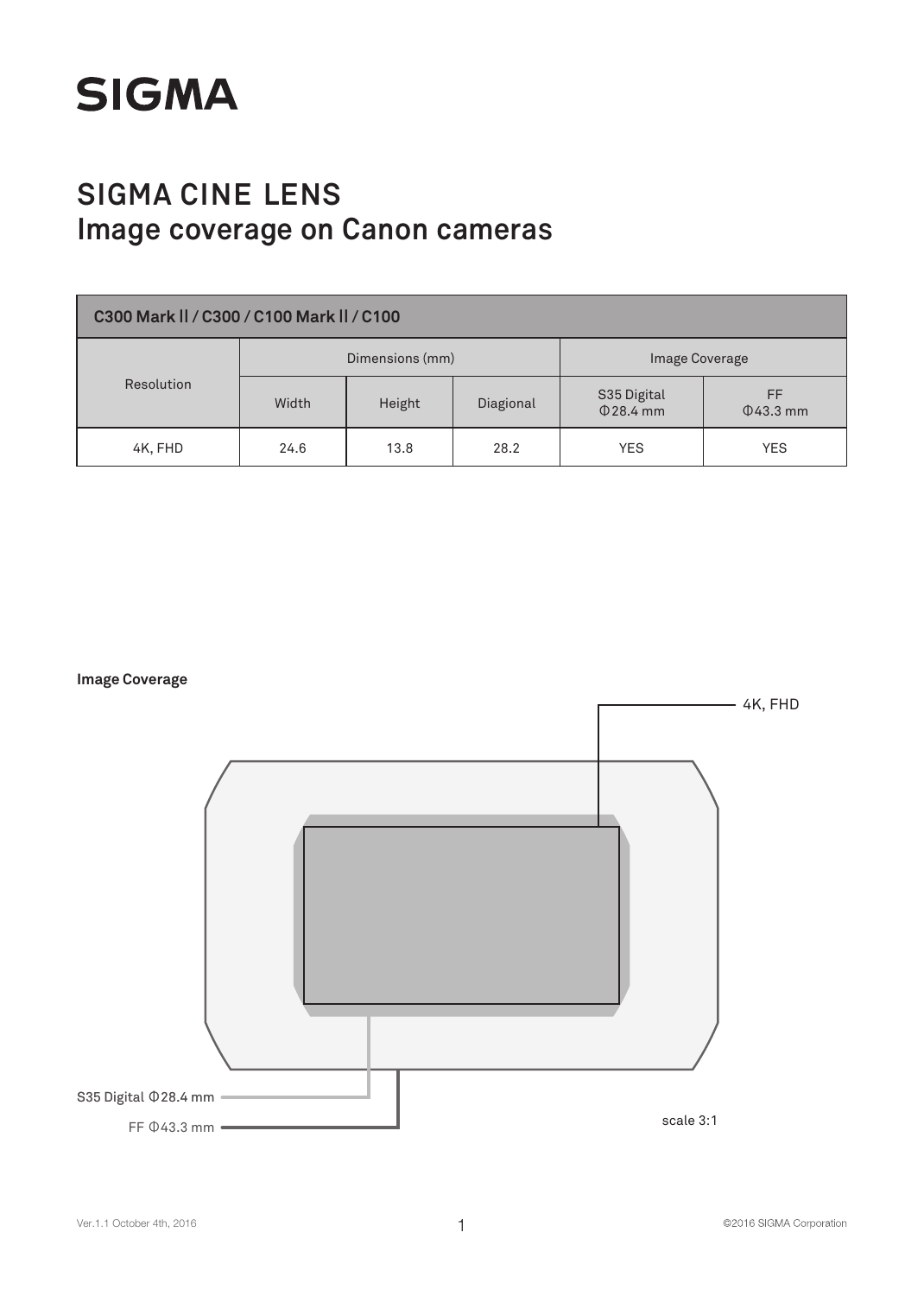

| C300 Mark II / C300 / C100 Mark II / C100 |       |                 |           |                            |                      |  |  |  |
|-------------------------------------------|-------|-----------------|-----------|----------------------------|----------------------|--|--|--|
|                                           |       | Dimensions (mm) |           | Image Coverage             |                      |  |  |  |
| Resolution                                | Width | Height          | Diagional | S35 Digital<br>$Q$ 28.4 mm | FF<br>$\Phi$ 43.3 mm |  |  |  |
| 4K, FHD                                   | 24.6  | 13.8            | 28.2      | <b>YES</b>                 | <b>YES</b>           |  |  |  |

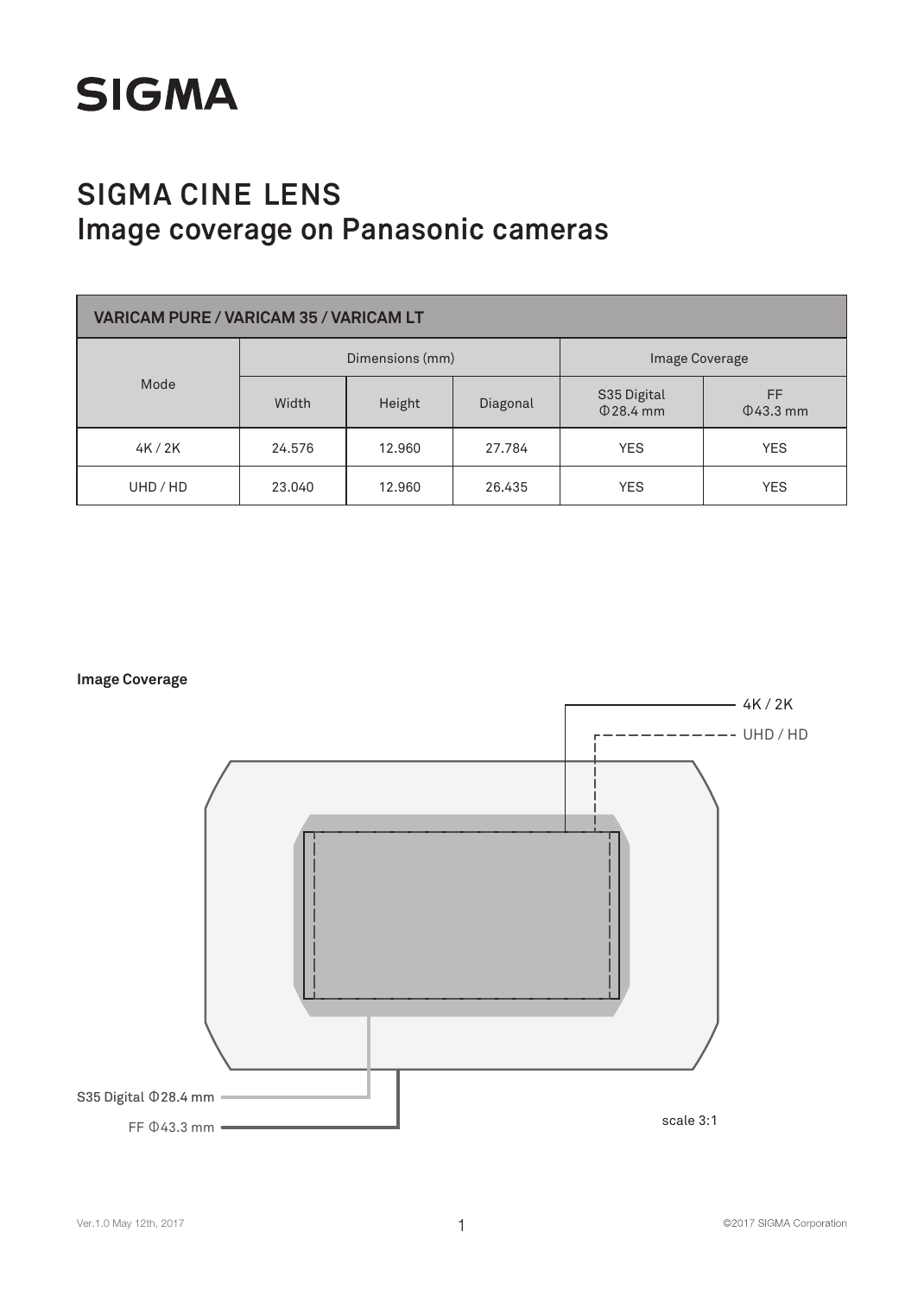

# **SIGMA CINE LENS Image coverage on Panasonic cameras**

| <b>VARICAM PURE / VARICAM 35 / VARICAM LT</b> |                 |        |          |                               |                       |  |  |  |
|-----------------------------------------------|-----------------|--------|----------|-------------------------------|-----------------------|--|--|--|
|                                               | Dimensions (mm) |        |          | Image Coverage                |                       |  |  |  |
| Mode                                          | Width           | Height | Diagonal | S35 Digital<br>$\Phi$ 28.4 mm | FF.<br>$\Phi$ 43.3 mm |  |  |  |
| 4K/2K                                         | 24.576          | 12.960 | 27.784   | <b>YES</b>                    | <b>YES</b>            |  |  |  |
| UHD/HD                                        | 23,040          | 12.960 | 26.435   | <b>YES</b>                    | <b>YES</b>            |  |  |  |



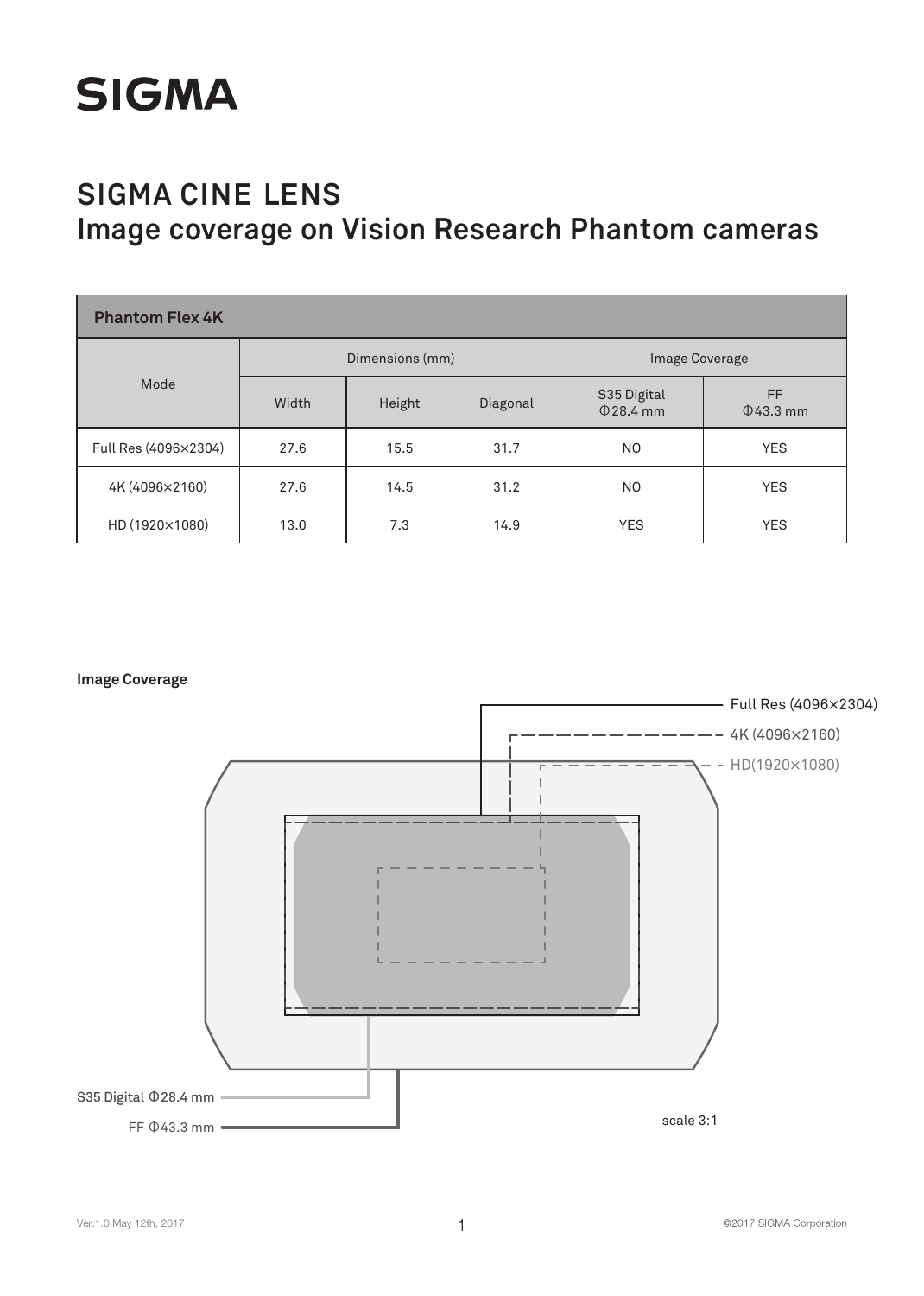

# **SIGMA CINE LENS Image coverage on Vision Research Phantom cameras**

| <b>Phantom Flex 4K</b> |                 |        |          |                               |                       |  |  |  |
|------------------------|-----------------|--------|----------|-------------------------------|-----------------------|--|--|--|
|                        | Dimensions (mm) |        |          | Image Coverage                |                       |  |  |  |
| Mode                   | Width           | Height | Diagonal | S35 Digital<br>$\Phi$ 28.4 mm | FF.<br>$\Phi$ 43.3 mm |  |  |  |
| Full Res (4096×2304)   | 27.6            | 15.5   | 31.7     | N <sub>O</sub>                | <b>YES</b>            |  |  |  |
| 4K (4096×2160)         | 27.6            | 14.5   | 31.2     | N <sub>O</sub>                | <b>YES</b>            |  |  |  |
| HD (1920×1080)         | 13.0            | 7.3    | 14.9     | <b>YES</b>                    | <b>YES</b>            |  |  |  |



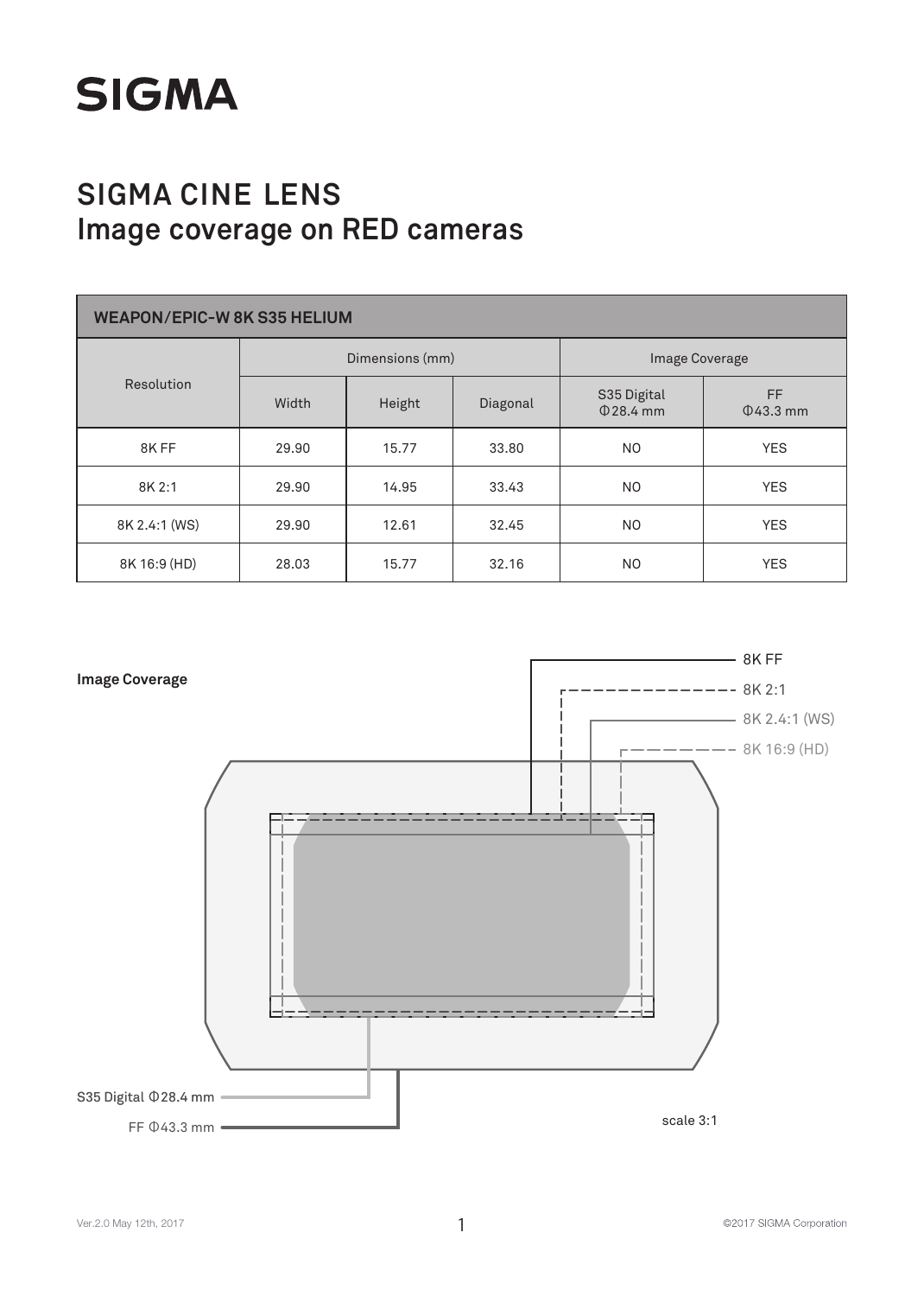

| <b>WEAPON/EPIC-W 8K S35 HELIUM</b> |       |                 |          |                            |                       |  |  |  |
|------------------------------------|-------|-----------------|----------|----------------------------|-----------------------|--|--|--|
|                                    |       | Dimensions (mm) |          |                            | Image Coverage        |  |  |  |
| Resolution                         | Width | Height          | Diagonal | S35 Digital<br>$Q$ 28.4 mm | FF.<br>$\Phi$ 43.3 mm |  |  |  |
| 8KFF                               | 29.90 | 15.77           | 33.80    | N <sub>O</sub>             | <b>YES</b>            |  |  |  |
| 8K 2:1                             | 29.90 | 14.95           | 33.43    | NO.                        | <b>YES</b>            |  |  |  |
| 8K 2.4:1 (WS)                      | 29.90 | 12.61           | 32.45    | N <sub>O</sub>             | <b>YES</b>            |  |  |  |
| 8K 16:9 (HD)                       | 28.03 | 15.77           | 32.16    | N <sub>O</sub>             | <b>YES</b>            |  |  |  |



©2017 SIGMA Corporation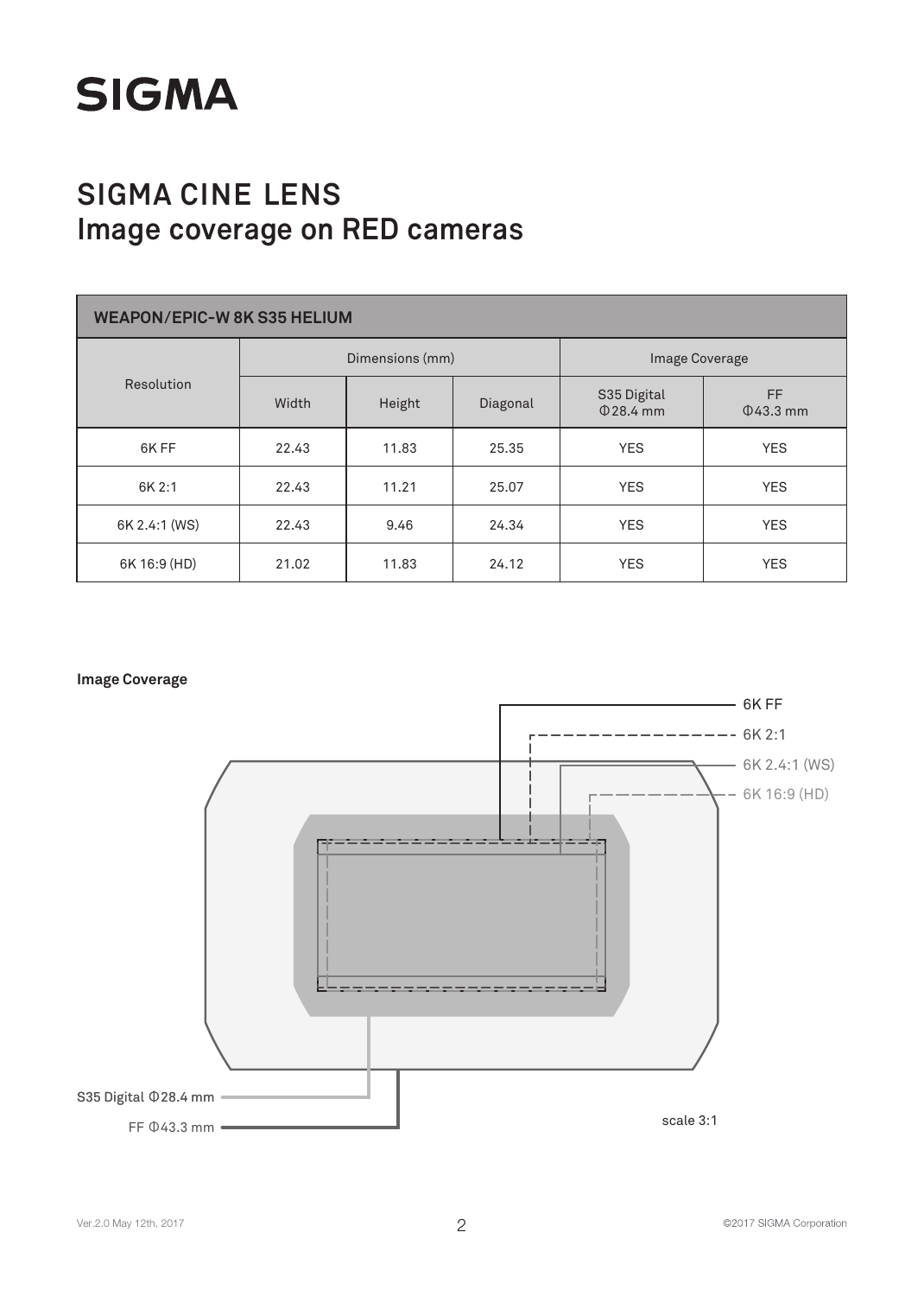

| <b>WEAPON/EPIC-W 8K S35 HELIUM</b> |       |                 |          |                            |                       |  |  |  |
|------------------------------------|-------|-----------------|----------|----------------------------|-----------------------|--|--|--|
|                                    |       | Dimensions (mm) |          |                            | Image Coverage        |  |  |  |
| Resolution                         | Width | Height          | Diagonal | S35 Digital<br>$Q$ 28.4 mm | FF.<br>$\Phi$ 43.3 mm |  |  |  |
| 6K FF                              | 22.43 | 11.83           | 25.35    | <b>YES</b>                 | <b>YES</b>            |  |  |  |
| 6K 2:1                             | 22.43 | 11.21           | 25.07    | <b>YES</b>                 | <b>YES</b>            |  |  |  |
| 6K 2.4:1 (WS)                      | 22.43 | 9.46            | 24.34    | <b>YES</b>                 | <b>YES</b>            |  |  |  |
| 6K 16:9 (HD)                       | 21.02 | 11.83           | 24.12    | <b>YES</b>                 | <b>YES</b>            |  |  |  |

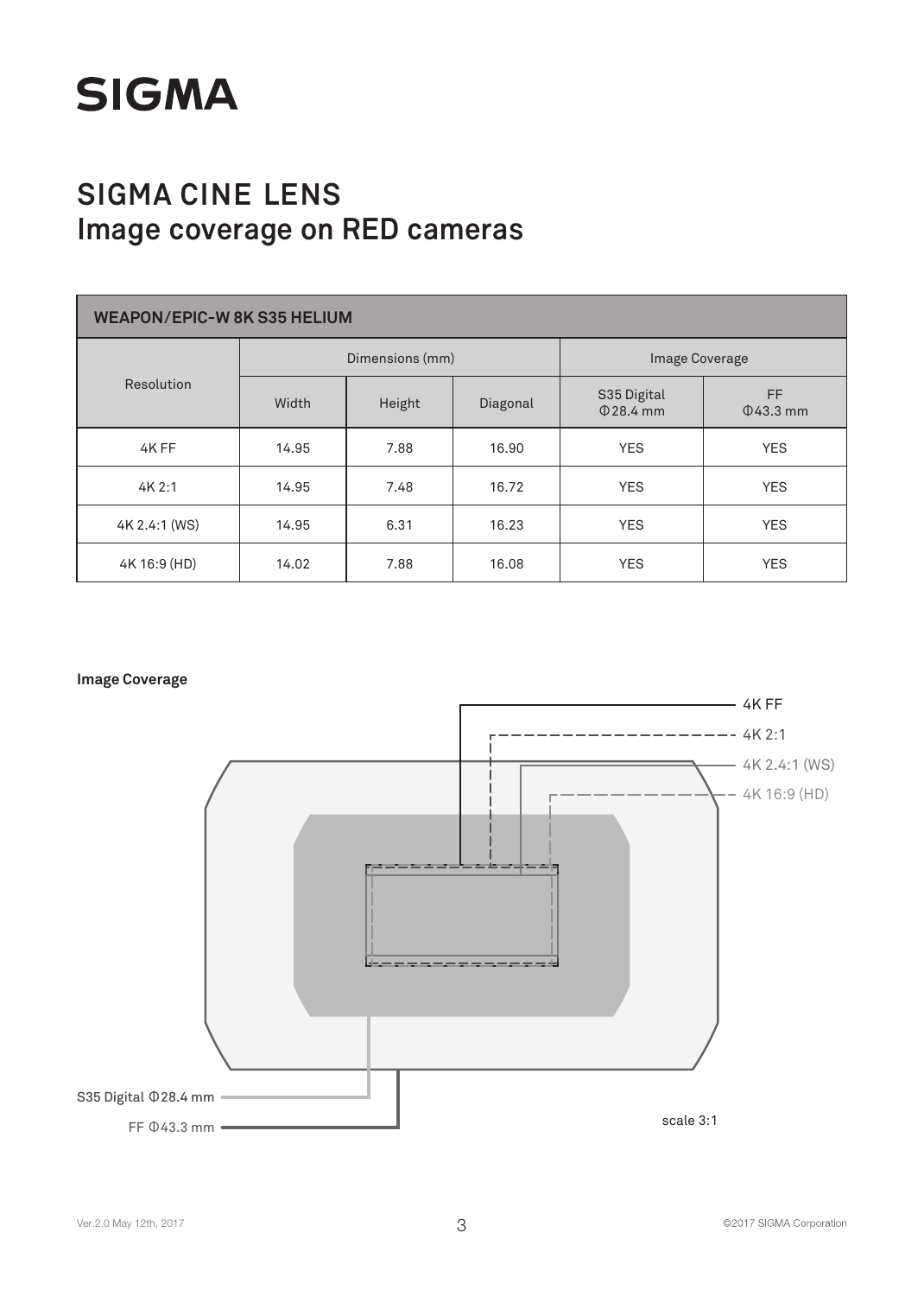

| <b>WEAPON/EPIC-W 8K S35 HELIUM</b> |       |                 |          |                            |                       |  |  |  |
|------------------------------------|-------|-----------------|----------|----------------------------|-----------------------|--|--|--|
|                                    |       | Dimensions (mm) |          |                            | Image Coverage        |  |  |  |
| Resolution                         | Width | Height          | Diagonal | S35 Digital<br>$Q$ 28.4 mm | FF.<br>$\Phi$ 43.3 mm |  |  |  |
| 4K FF                              | 14.95 | 7.88            | 16.90    | <b>YES</b>                 | <b>YES</b>            |  |  |  |
| 4K2:1                              | 14.95 | 7.48            | 16.72    | <b>YES</b>                 | <b>YES</b>            |  |  |  |
| 4K 2.4:1 (WS)                      | 14.95 | 6.31            | 16.23    | <b>YES</b>                 | <b>YES</b>            |  |  |  |
| 4K 16:9 (HD)                       | 14.02 | 7.88            | 16.08    | <b>YES</b>                 | <b>YES</b>            |  |  |  |

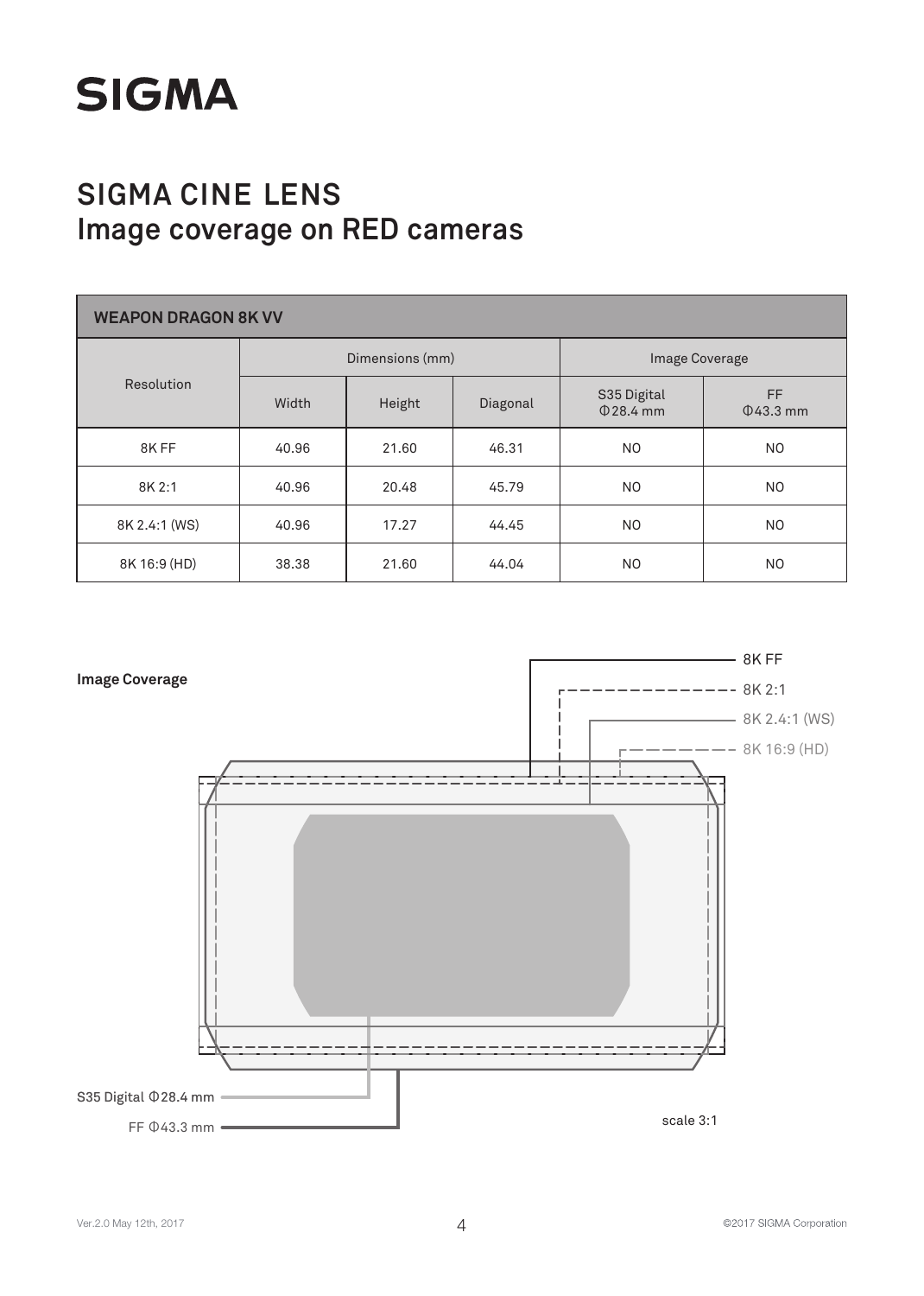

| <b>WEAPON DRAGON 8K VV</b> |       |                 |          |                            |                       |  |  |  |
|----------------------------|-------|-----------------|----------|----------------------------|-----------------------|--|--|--|
|                            |       | Dimensions (mm) |          |                            | Image Coverage        |  |  |  |
| Resolution                 | Width | Height          | Diagonal | S35 Digital<br>$Q$ 28.4 mm | FF.<br>$\Phi$ 43.3 mm |  |  |  |
| 8KFF                       | 40.96 | 21.60           | 46.31    | N <sub>O</sub>             | NO.                   |  |  |  |
| 8K 2:1                     | 40.96 | 20.48           | 45.79    | NO.                        | NO.                   |  |  |  |
| 8K 2.4:1 (WS)              | 40.96 | 17.27           | 44.45    | N <sub>O</sub>             | NO.                   |  |  |  |
| 8K 16:9 (HD)               | 38.38 | 21.60           | 44.04    | N <sub>O</sub>             | NO.                   |  |  |  |

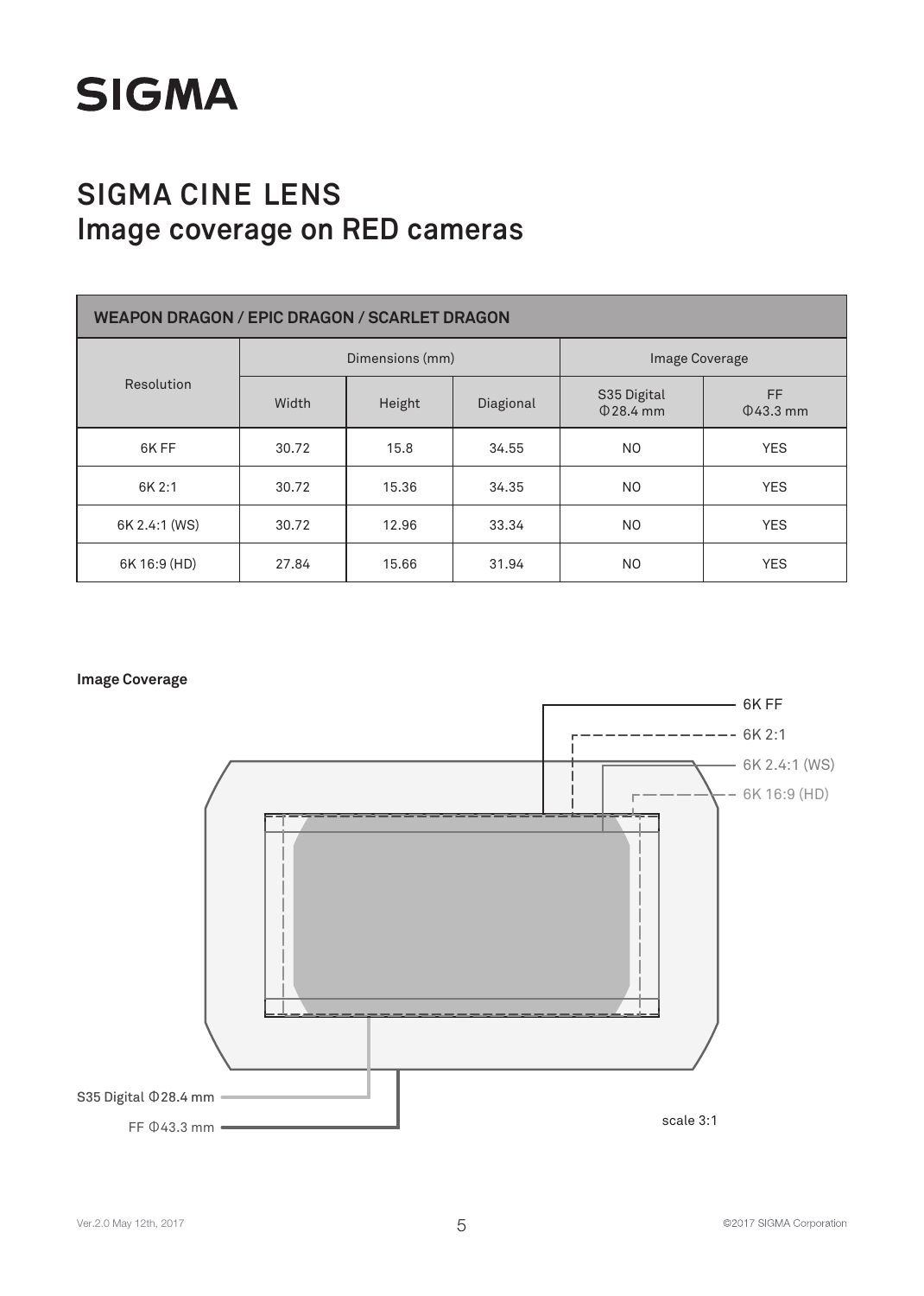

| <b>WEAPON DRAGON / EPIC DRAGON / SCARLET DRAGON</b> |                 |        |           |                            |                       |  |
|-----------------------------------------------------|-----------------|--------|-----------|----------------------------|-----------------------|--|
|                                                     | Dimensions (mm) |        |           | Image Coverage             |                       |  |
| Resolution                                          | Width           | Height | Diagional | S35 Digital<br>$0.28.4$ mm | FF.<br>$\Phi$ 43.3 mm |  |
| 6K FF                                               | 30.72           | 15.8   | 34.55     | N <sub>O</sub>             | <b>YES</b>            |  |
| 6K 2:1                                              | 30.72           | 15.36  | 34.35     | N <sub>O</sub>             | <b>YES</b>            |  |
| 6K 2.4:1 (WS)                                       | 30.72           | 12.96  | 33.34     | N <sub>O</sub>             | <b>YES</b>            |  |
| 6K 16:9 (HD)                                        | 27.84           | 15.66  | 31.94     | NO.                        | <b>YES</b>            |  |

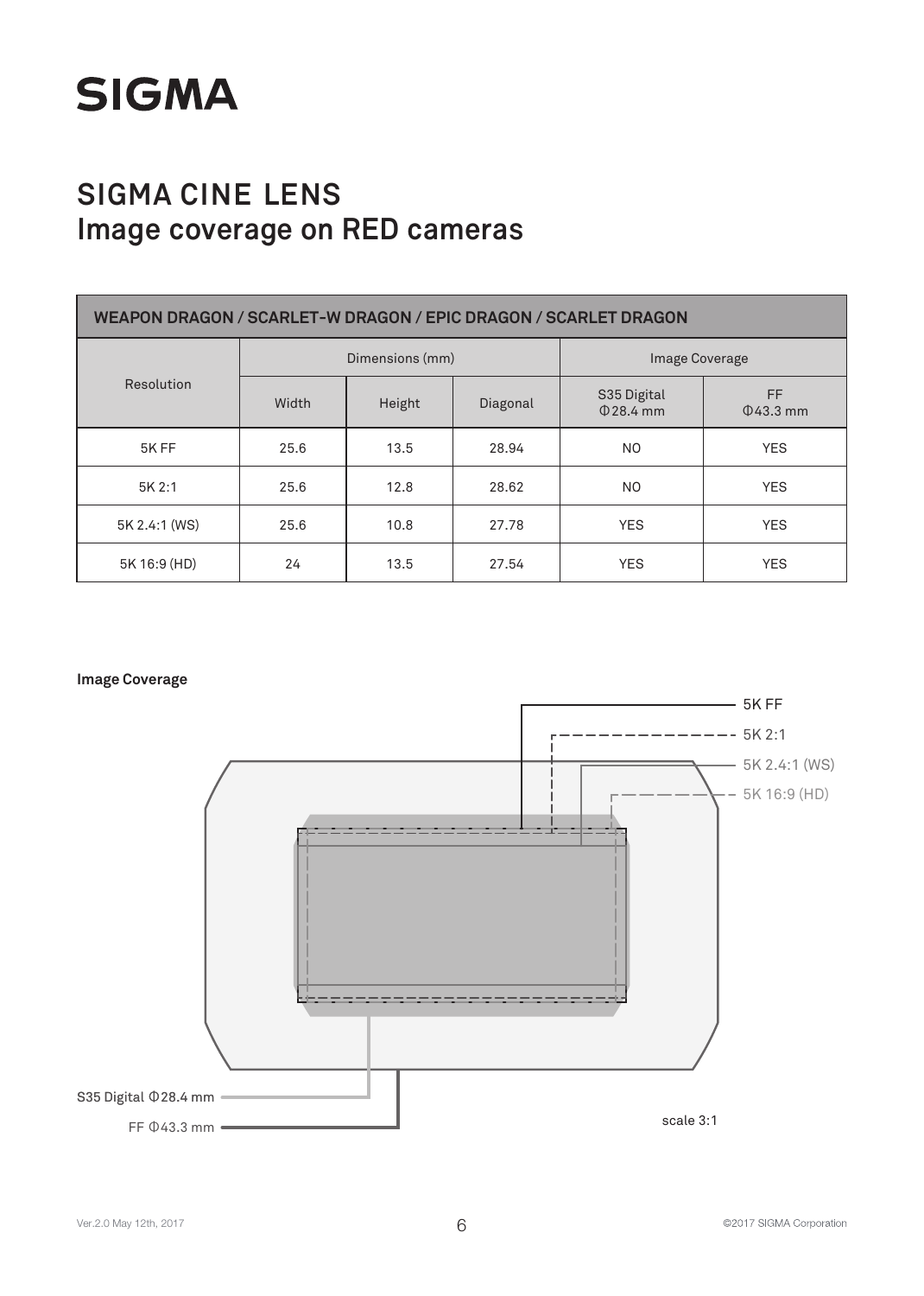

| WEAPON DRAGON / SCARLET-W DRAGON / EPIC DRAGON / SCARLET DRAGON |                 |        |          |                               |                       |  |
|-----------------------------------------------------------------|-----------------|--------|----------|-------------------------------|-----------------------|--|
|                                                                 | Dimensions (mm) |        |          | <b>Image Coverage</b>         |                       |  |
| Resolution                                                      | Width           | Height | Diagonal | S35 Digital<br>$\Phi$ 28.4 mm | FF.<br>$\Phi$ 43.3 mm |  |
| 5K FF                                                           | 25.6            | 13.5   | 28.94    | N <sub>O</sub>                | <b>YES</b>            |  |
| 5K 2:1                                                          | 25.6            | 12.8   | 28.62    | N <sub>O</sub>                | <b>YES</b>            |  |
| 5K 2.4:1 (WS)                                                   | 25.6            | 10.8   | 27.78    | <b>YES</b>                    | <b>YES</b>            |  |
| 5K 16:9 (HD)                                                    | 24              | 13.5   | 27.54    | <b>YES</b>                    | <b>YES</b>            |  |



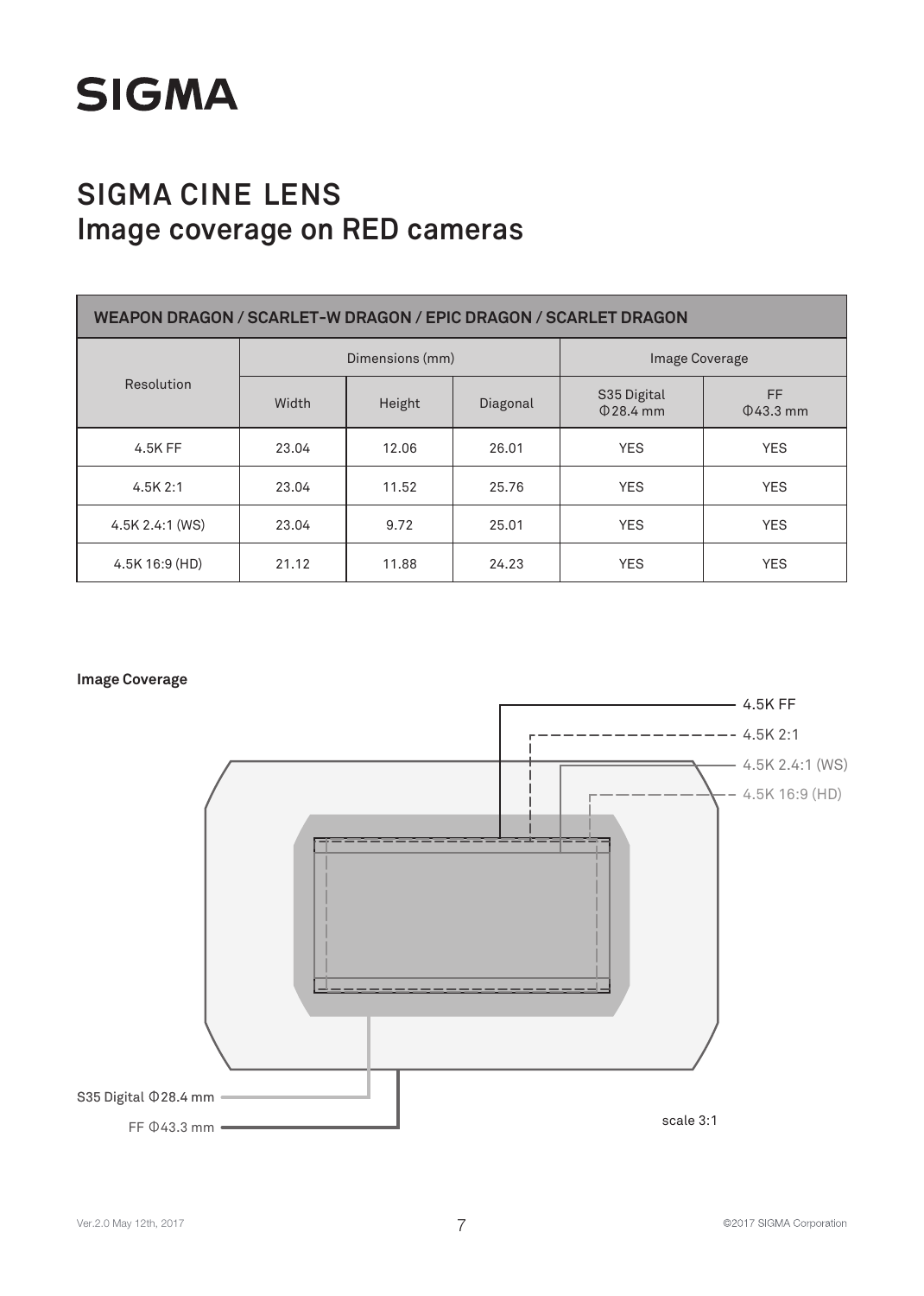

| WEAPON DRAGON / SCARLET-W DRAGON / EPIC DRAGON / SCARLET DRAGON |                 |        |          |                            |                       |  |
|-----------------------------------------------------------------|-----------------|--------|----------|----------------------------|-----------------------|--|
|                                                                 | Dimensions (mm) |        |          | <b>Image Coverage</b>      |                       |  |
| Resolution                                                      | Width           | Height | Diagonal | S35 Digital<br>$0.28.4$ mm | FF.<br>$\Phi$ 43.3 mm |  |
| 4.5K FF                                                         | 23.04           | 12.06  | 26.01    | <b>YES</b>                 | <b>YES</b>            |  |
| 4.5K2:1                                                         | 23.04           | 11.52  | 25.76    | <b>YES</b>                 | <b>YES</b>            |  |
| 4.5K 2.4:1 (WS)                                                 | 23.04           | 9.72   | 25.01    | <b>YES</b>                 | <b>YES</b>            |  |
| 4.5K 16:9 (HD)                                                  | 21.12           | 11.88  | 24.23    | <b>YES</b>                 | <b>YES</b>            |  |

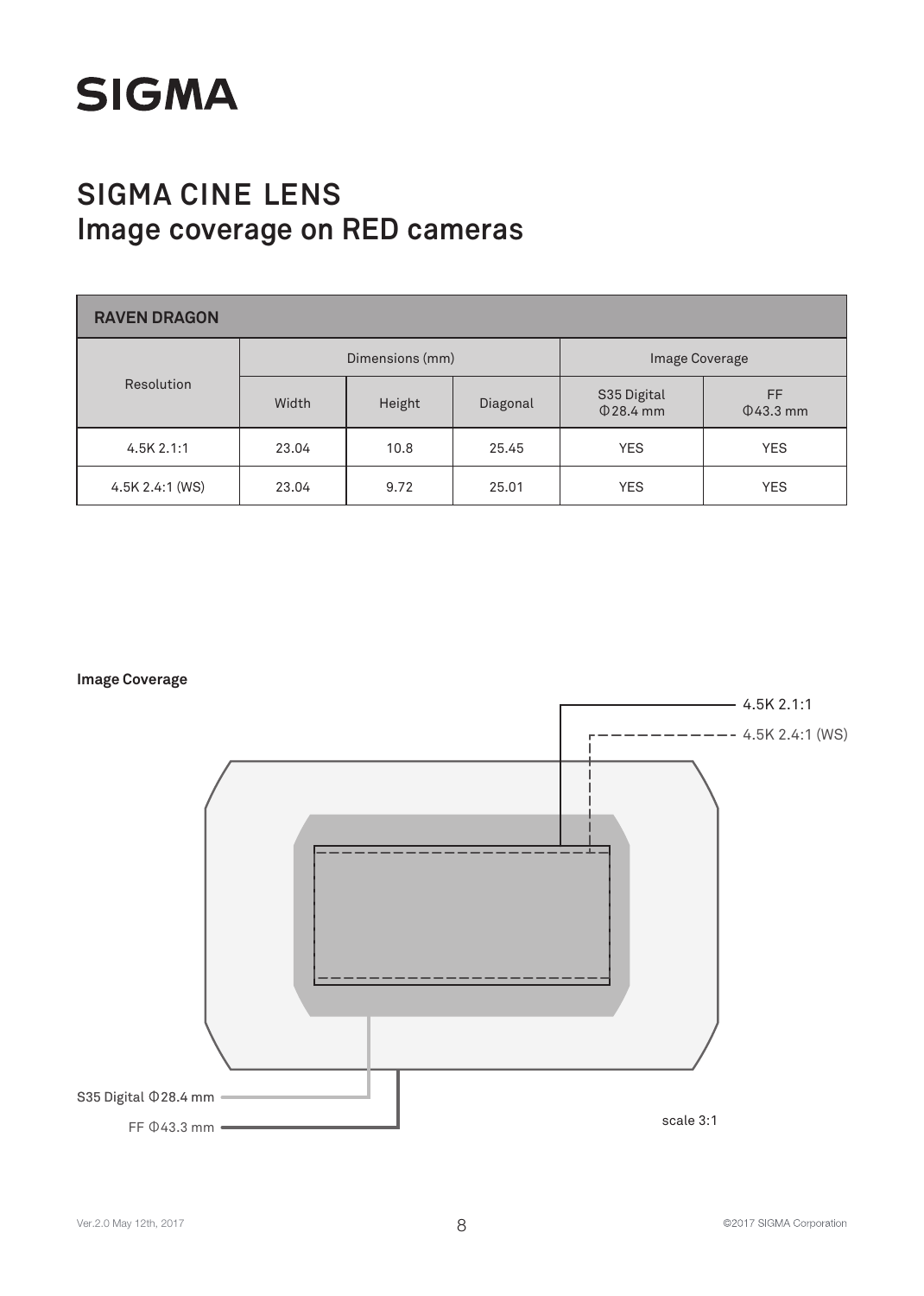

| <b>RAVEN DRAGON</b> |                 |        |          |                               |                       |  |  |
|---------------------|-----------------|--------|----------|-------------------------------|-----------------------|--|--|
|                     | Dimensions (mm) |        |          | Image Coverage                |                       |  |  |
| Resolution          | Width           | Height | Diagonal | S35 Digital<br>$\Phi$ 28.4 mm | FF.<br>$\Phi$ 43.3 mm |  |  |
| 4.5K2.1:1           | 23.04           | 10.8   | 25.45    | <b>YES</b>                    | <b>YES</b>            |  |  |
| 4.5K 2.4:1 (WS)     | 23.04           | 9.72   | 25.01    | <b>YES</b>                    | <b>YES</b>            |  |  |

**Image Coverage**

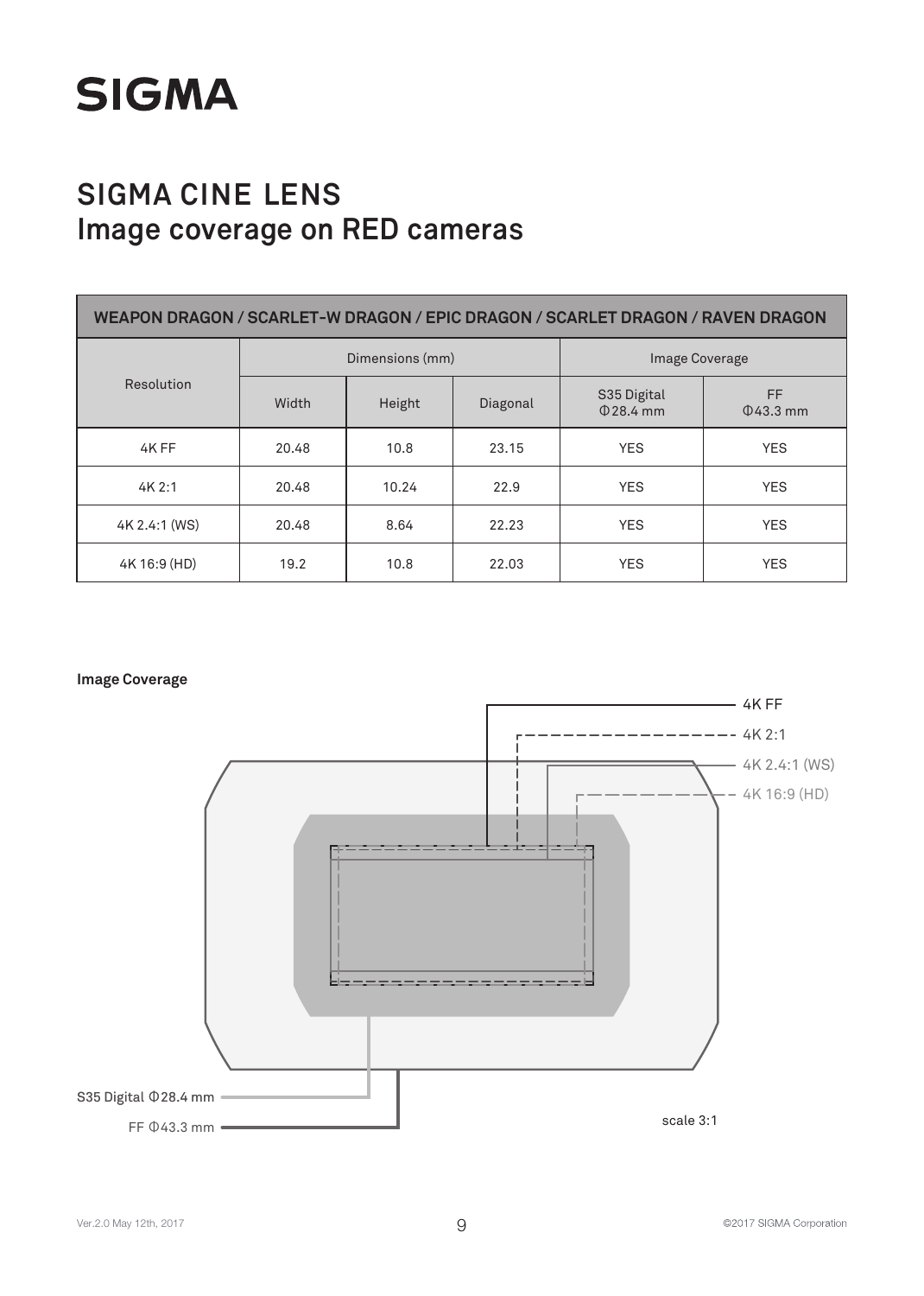

| WEAPON DRAGON / SCARLET-W DRAGON / EPIC DRAGON / SCARLET DRAGON / RAVEN DRAGON |                 |        |          |                               |                             |  |
|--------------------------------------------------------------------------------|-----------------|--------|----------|-------------------------------|-----------------------------|--|
|                                                                                | Dimensions (mm) |        |          | <b>Image Coverage</b>         |                             |  |
| Resolution                                                                     | Width           | Height | Diagonal | S35 Digital<br>$\Phi$ 28.4 mm | <b>FF</b><br>$\Phi$ 43.3 mm |  |
| 4K FF                                                                          | 20.48           | 10.8   | 23.15    | <b>YES</b>                    | <b>YES</b>                  |  |
| 4K2:1                                                                          | 20.48           | 10.24  | 22.9     | <b>YES</b>                    | <b>YES</b>                  |  |
| 4K 2.4:1 (WS)                                                                  | 20.48           | 8.64   | 22.23    | <b>YES</b>                    | <b>YES</b>                  |  |
| 4K 16:9 (HD)                                                                   | 19.2            | 10.8   | 22.03    | <b>YES</b>                    | <b>YES</b>                  |  |

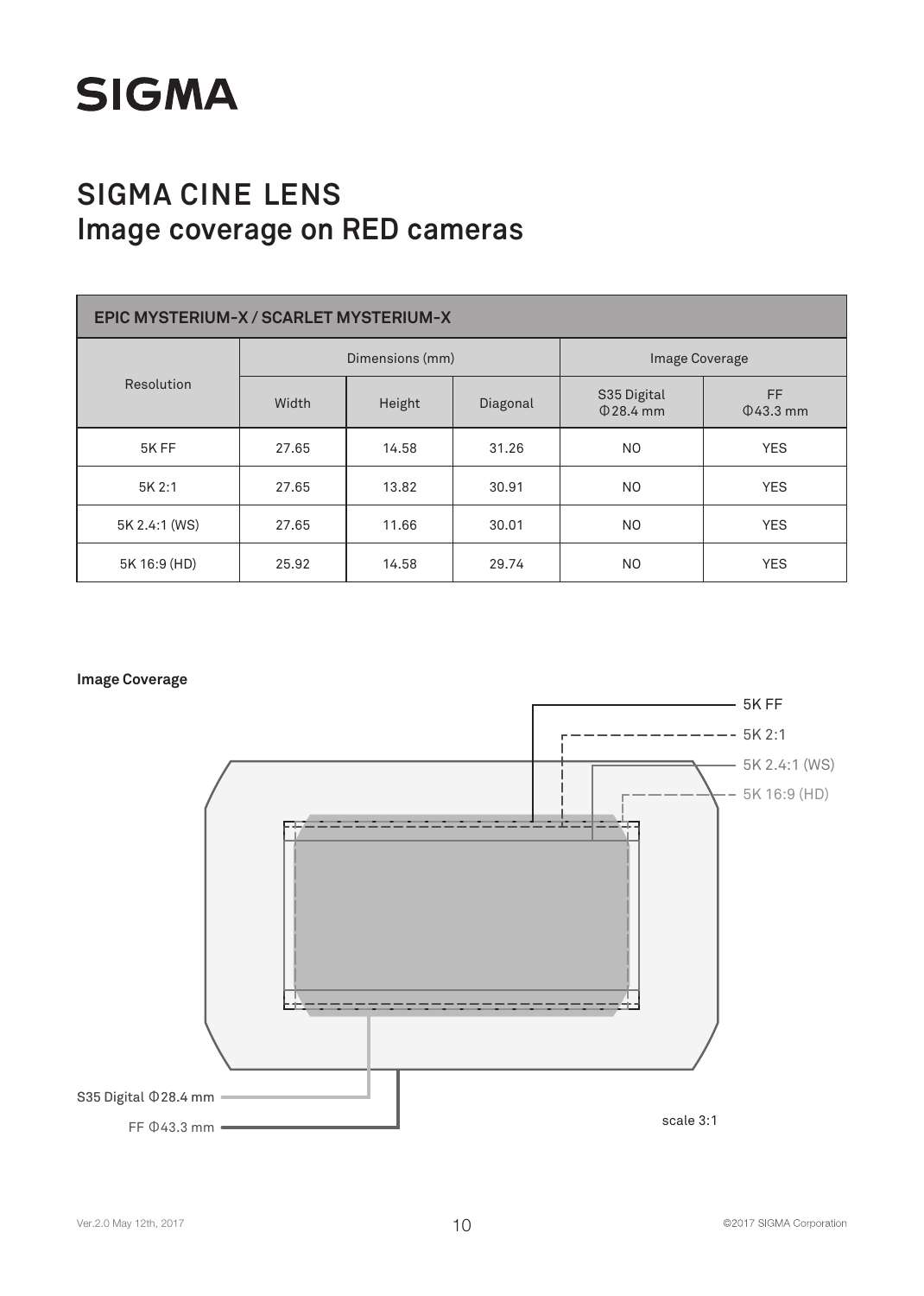

| EPIC MYSTERIUM-X / SCARLET MYSTERIUM-X |       |                 |          |                            |                       |  |
|----------------------------------------|-------|-----------------|----------|----------------------------|-----------------------|--|
|                                        |       | Dimensions (mm) |          | Image Coverage             |                       |  |
| Resolution                             | Width | Height          | Diagonal | S35 Digital<br>$0.28.4$ mm | FF.<br>$\Phi$ 43.3 mm |  |
| 5K FF                                  | 27.65 | 14.58           | 31.26    | N <sub>O</sub>             | <b>YES</b>            |  |
| 5K 2:1                                 | 27.65 | 13.82           | 30.91    | N <sub>O</sub>             | <b>YES</b>            |  |
| 5K 2.4:1 (WS)                          | 27.65 | 11.66           | 30.01    | N <sub>O</sub>             | <b>YES</b>            |  |
| 5K 16:9 (HD)                           | 25.92 | 14.58           | 29.74    | N <sub>O</sub>             | <b>YES</b>            |  |



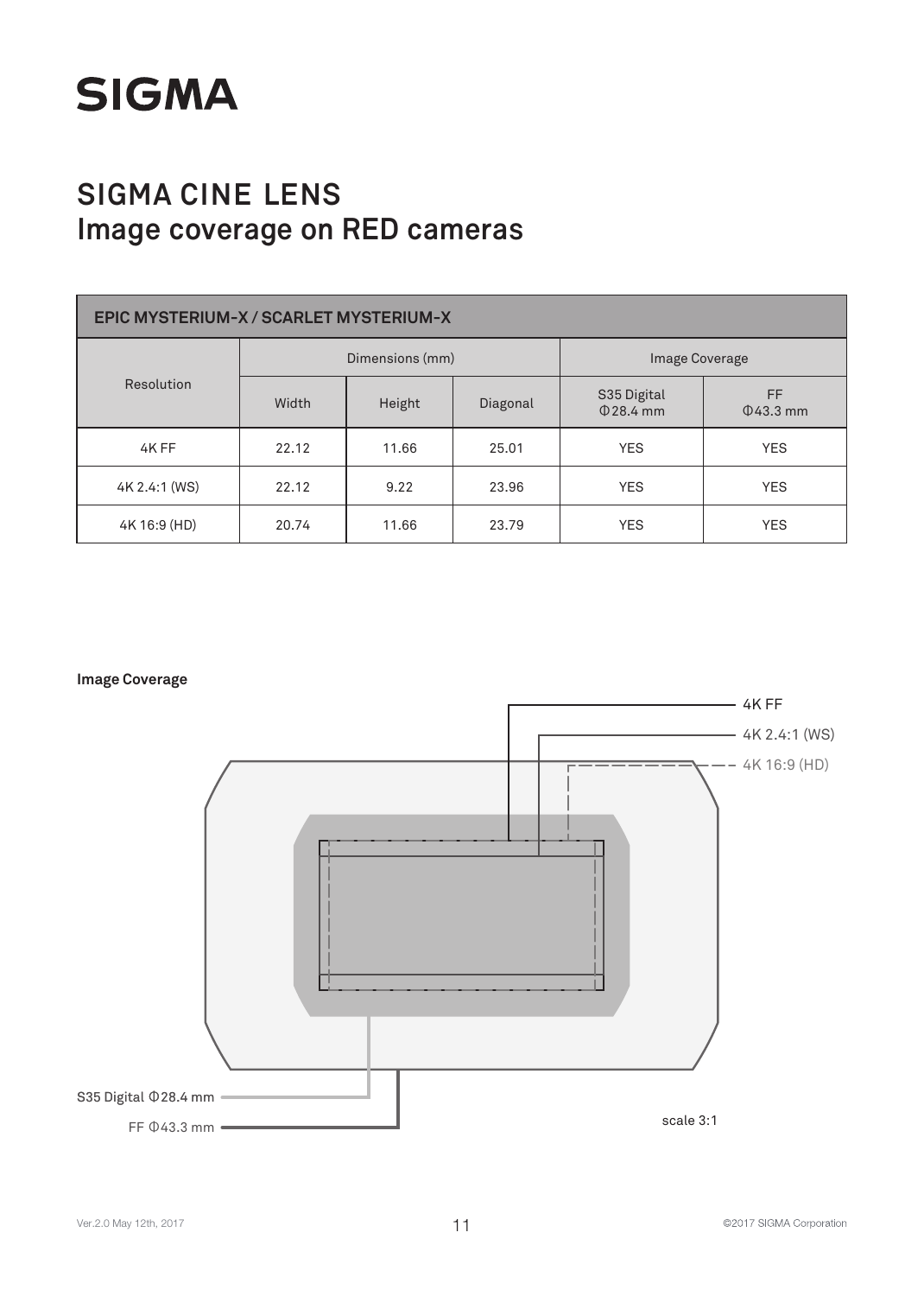

| EPIC MYSTERIUM-X / SCARLET MYSTERIUM-X |                 |        |          |                               |                      |  |
|----------------------------------------|-----------------|--------|----------|-------------------------------|----------------------|--|
| Resolution                             | Dimensions (mm) |        |          | <b>Image Coverage</b>         |                      |  |
|                                        | Width           | Height | Diagonal | S35 Digital<br>$\Phi$ 28.4 mm | FF<br>$\Phi$ 43.3 mm |  |
| 4K FF                                  | 22.12           | 11.66  | 25.01    | <b>YES</b>                    | <b>YES</b>           |  |
| 4K 2.4:1 (WS)                          | 22.12           | 9.22   | 23.96    | <b>YES</b>                    | <b>YES</b>           |  |
| 4K 16:9 (HD)                           | 20.74           | 11.66  | 23.79    | <b>YES</b>                    | <b>YES</b>           |  |

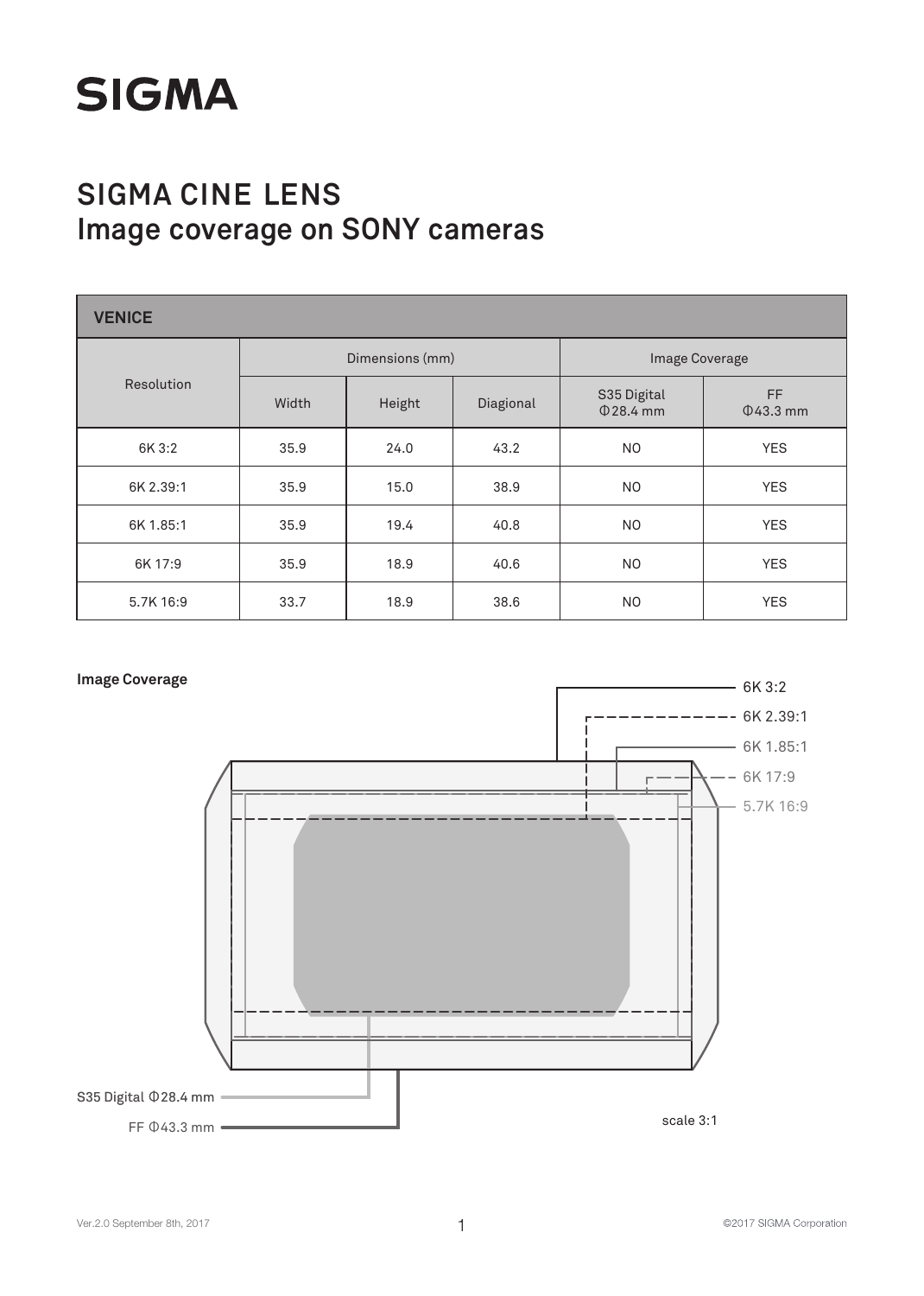# **SIGMA**

# **SIGMA CINE LENS Image coverage on SONY cameras**

| <b>VENICE</b> |       |                 |           |                            |                       |  |
|---------------|-------|-----------------|-----------|----------------------------|-----------------------|--|
|               |       | Dimensions (mm) |           | Image Coverage             |                       |  |
| Resolution    | Width | Height          | Diagional | S35 Digital<br>$Q$ 28.4 mm | FF.<br>$\Phi$ 43.3 mm |  |
| 6K 3:2        | 35.9  | 24.0            | 43.2      | N <sub>O</sub>             | <b>YES</b>            |  |
| 6K 2.39:1     | 35.9  | 15.0            | 38.9      | N <sub>O</sub>             | <b>YES</b>            |  |
| 6K 1.85:1     | 35.9  | 19.4            | 40.8      | N <sub>O</sub>             | <b>YES</b>            |  |
| 6K 17:9       | 35.9  | 18.9            | 40.6      | N <sub>O</sub>             | <b>YES</b>            |  |
| 5.7K 16:9     | 33.7  | 18.9            | 38.6      | N <sub>O</sub>             | <b>YES</b>            |  |

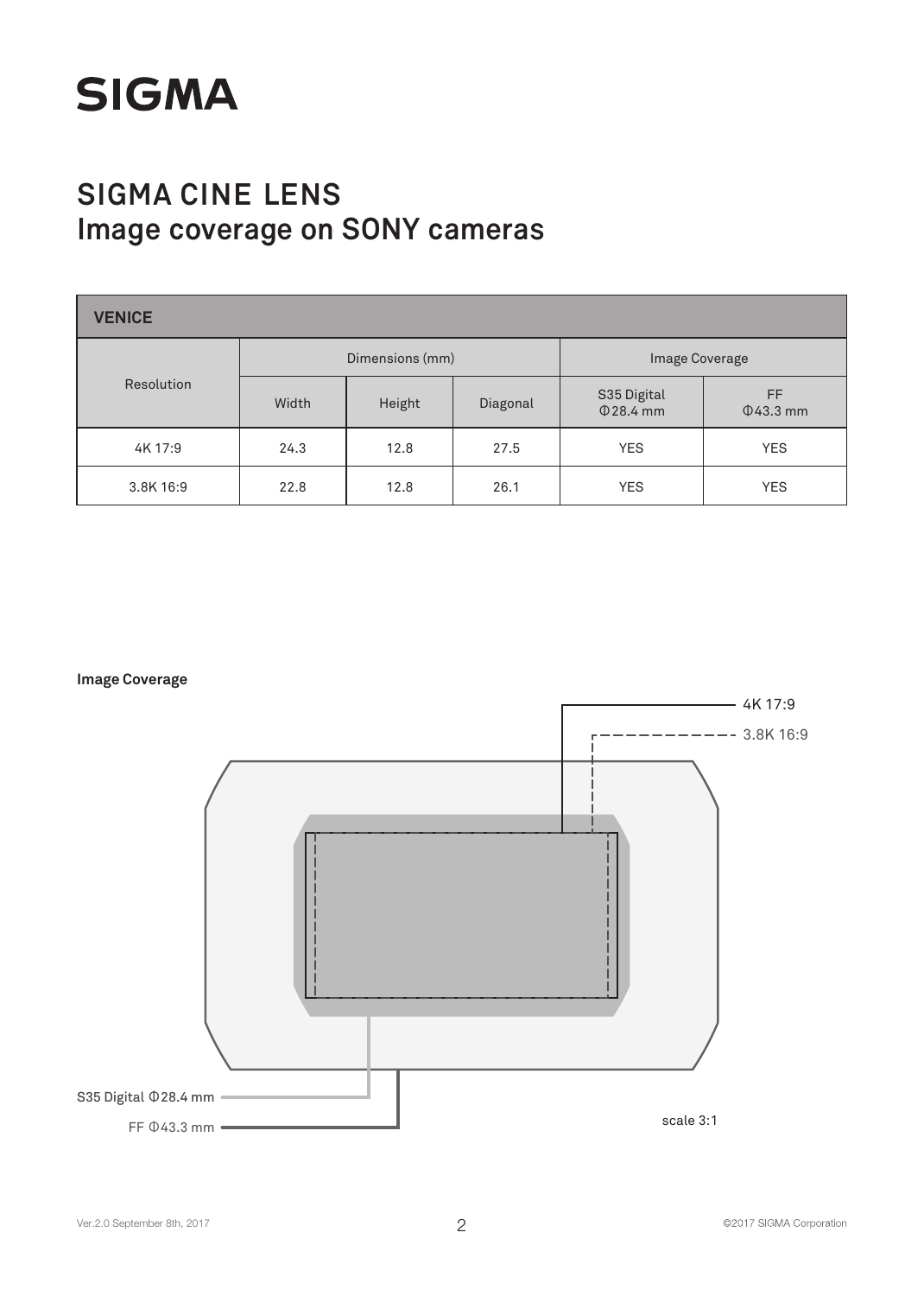

| <b>VENICE</b> |                 |        |          |                            |                      |  |  |
|---------------|-----------------|--------|----------|----------------------------|----------------------|--|--|
|               | Dimensions (mm) |        |          | Image Coverage             |                      |  |  |
| Resolution    | Width           | Height | Diagonal | S35 Digital<br>$Q$ 28.4 mm | FF<br>$\Phi$ 43.3 mm |  |  |
| 4K 17:9       | 24.3            | 12.8   | 27.5     | <b>YES</b>                 | <b>YES</b>           |  |  |
| 3.8K 16:9     | 22.8            | 12.8   | 26.1     | <b>YES</b>                 | <b>YES</b>           |  |  |

**Image Coverage**